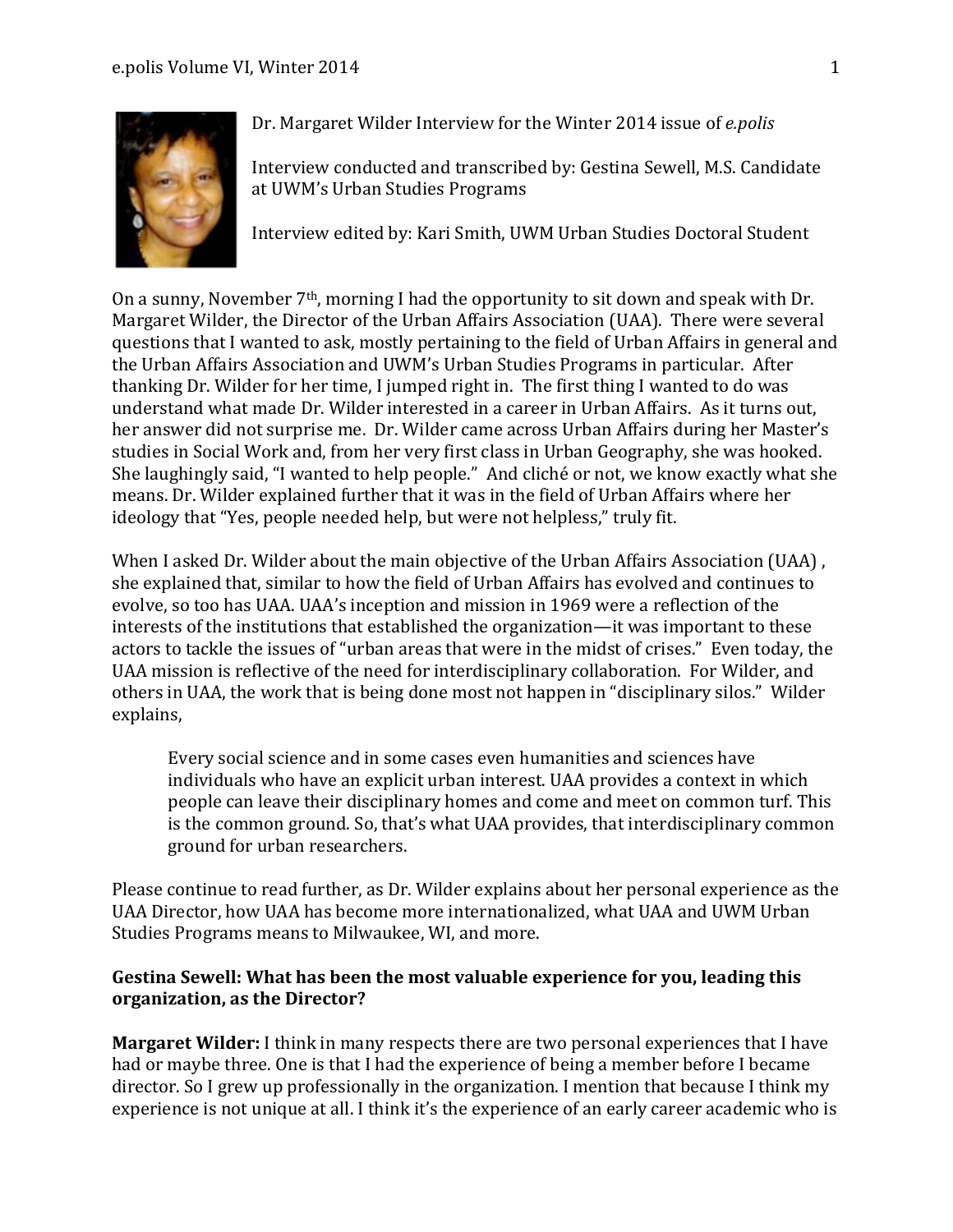

Dr. Margaret Wilder Interview for the Winter 2014 issue of *e.polis*

Interview conducted and transcribed by: Gestina Sewell, M.S. Candidate at UWM's Urban Studies Programs

Interview edited by: Kari Smith, UWM Urban Studies Doctoral Student

On a sunny, November 7th, morning I had the opportunity to sit down and speak with Dr. Margaret Wilder, the Director of the Urban Affairs Association (UAA). There were several questions that I wanted to ask, mostly pertaining to the field of Urban Affairs in general and the Urban Affairs Association and UWM's Urban Studies Programs in particular. After thanking Dr. Wilder for her time, I jumped right in. The first thing I wanted to do was understand what made Dr. Wilder interested in a career in Urban Affairs. As it turns out, her answer did not surprise me. Dr. Wilder came across Urban Affairs during her Master's studies in Social Work and, from her very first class in Urban Geography, she was hooked. She laughingly said, "I wanted to help people." And cliché or not, we know exactly what she means. Dr. Wilder explained further that it was in the field of Urban Affairs where her ideology that "Yes, people needed help, but were not helpless," truly fit.

When I asked Dr. Wilder about the main objective of the Urban Affairs Association (UAA) , she explained that, similar to how the field of Urban Affairs has evolved and continues to evolve, so too has UAA. UAA's inception and mission in 1969 were a reflection of the interests of the institutions that established the organization—it was important to these actors to tackle the issues of "urban areas that were in the midst of crises." Even today, the UAA mission is reflective of the need for interdisciplinary collaboration. For Wilder, and others in UAA, the work that is being done most not happen in "disciplinary silos." Wilder explains,

Every social science and in some cases even humanities and sciences have individuals who have an explicit urban interest. UAA provides a context in which people can leave their disciplinary homes and come and meet on common turf. This is the common ground. So, that's what UAA provides, that interdisciplinary common ground for urban researchers.

Please continue to read further, as Dr. Wilder explains about her personal experience as the UAA Director, how UAA has become more internationalized, what UAA and UWM Urban Studies Programs means to Milwaukee, WI, and more.

# **Gestina Sewell: What has been the most valuable experience for you, leading this organization, as the Director?**

**Margaret Wilder:** I think in many respects there are two personal experiences that I have had or maybe three. One is that I had the experience of being a member before I became director. So I grew up professionally in the organization. I mention that because I think my experience is not unique at all. I think it's the experience of an early career academic who is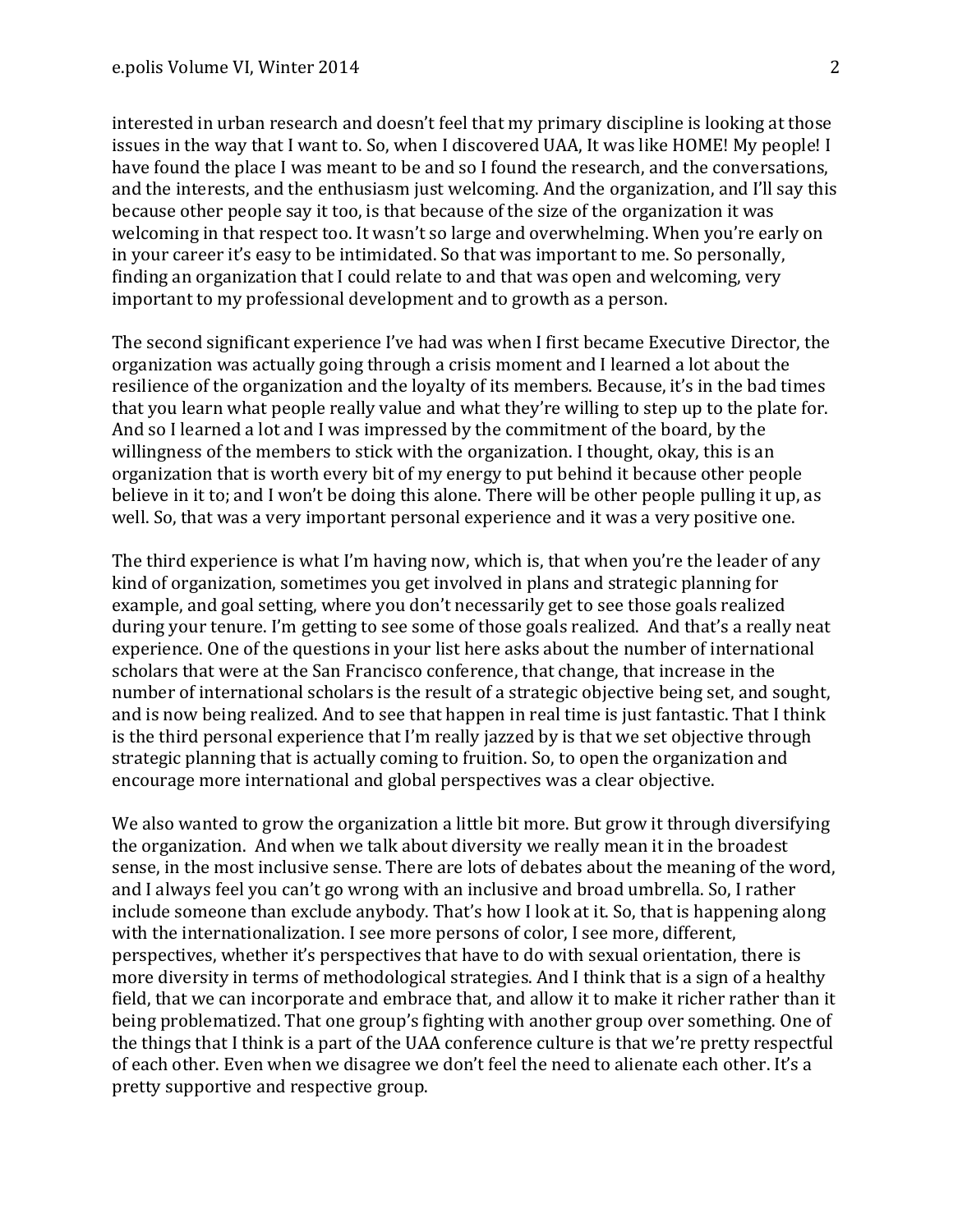interested in urban research and doesn't feel that my primary discipline is looking at those issues in the way that I want to. So, when I discovered UAA, It was like HOME! My people! I have found the place I was meant to be and so I found the research, and the conversations, and the interests, and the enthusiasm just welcoming. And the organization, and I'll say this because other people say it too, is that because of the size of the organization it was welcoming in that respect too. It wasn't so large and overwhelming. When you're early on in your career it's easy to be intimidated. So that was important to me. So personally, finding an organization that I could relate to and that was open and welcoming, very important to my professional development and to growth as a person.

The second significant experience I've had was when I first became Executive Director, the organization was actually going through a crisis moment and I learned a lot about the resilience of the organization and the loyalty of its members. Because, it's in the bad times that you learn what people really value and what they're willing to step up to the plate for. And so I learned a lot and I was impressed by the commitment of the board, by the willingness of the members to stick with the organization. I thought, okay, this is an organization that is worth every bit of my energy to put behind it because other people believe in it to; and I won't be doing this alone. There will be other people pulling it up, as well. So, that was a very important personal experience and it was a very positive one.

The third experience is what I'm having now, which is, that when you're the leader of any kind of organization, sometimes you get involved in plans and strategic planning for example, and goal setting, where you don't necessarily get to see those goals realized during your tenure. I'm getting to see some of those goals realized. And that's a really neat experience. One of the questions in your list here asks about the number of international scholars that were at the San Francisco conference, that change, that increase in the number of international scholars is the result of a strategic objective being set, and sought, and is now being realized. And to see that happen in real time is just fantastic. That I think is the third personal experience that I'm really jazzed by is that we set objective through strategic planning that is actually coming to fruition. So, to open the organization and encourage more international and global perspectives was a clear objective.

We also wanted to grow the organization a little bit more. But grow it through diversifying the organization. And when we talk about diversity we really mean it in the broadest sense, in the most inclusive sense. There are lots of debates about the meaning of the word, and I always feel you can't go wrong with an inclusive and broad umbrella. So, I rather include someone than exclude anybody. That's how I look at it. So, that is happening along with the internationalization. I see more persons of color, I see more, different, perspectives, whether it's perspectives that have to do with sexual orientation, there is more diversity in terms of methodological strategies. And I think that is a sign of a healthy field, that we can incorporate and embrace that, and allow it to make it richer rather than it being problematized. That one group's fighting with another group over something. One of the things that I think is a part of the UAA conference culture is that we're pretty respectful of each other. Even when we disagree we don't feel the need to alienate each other. It's a pretty supportive and respective group.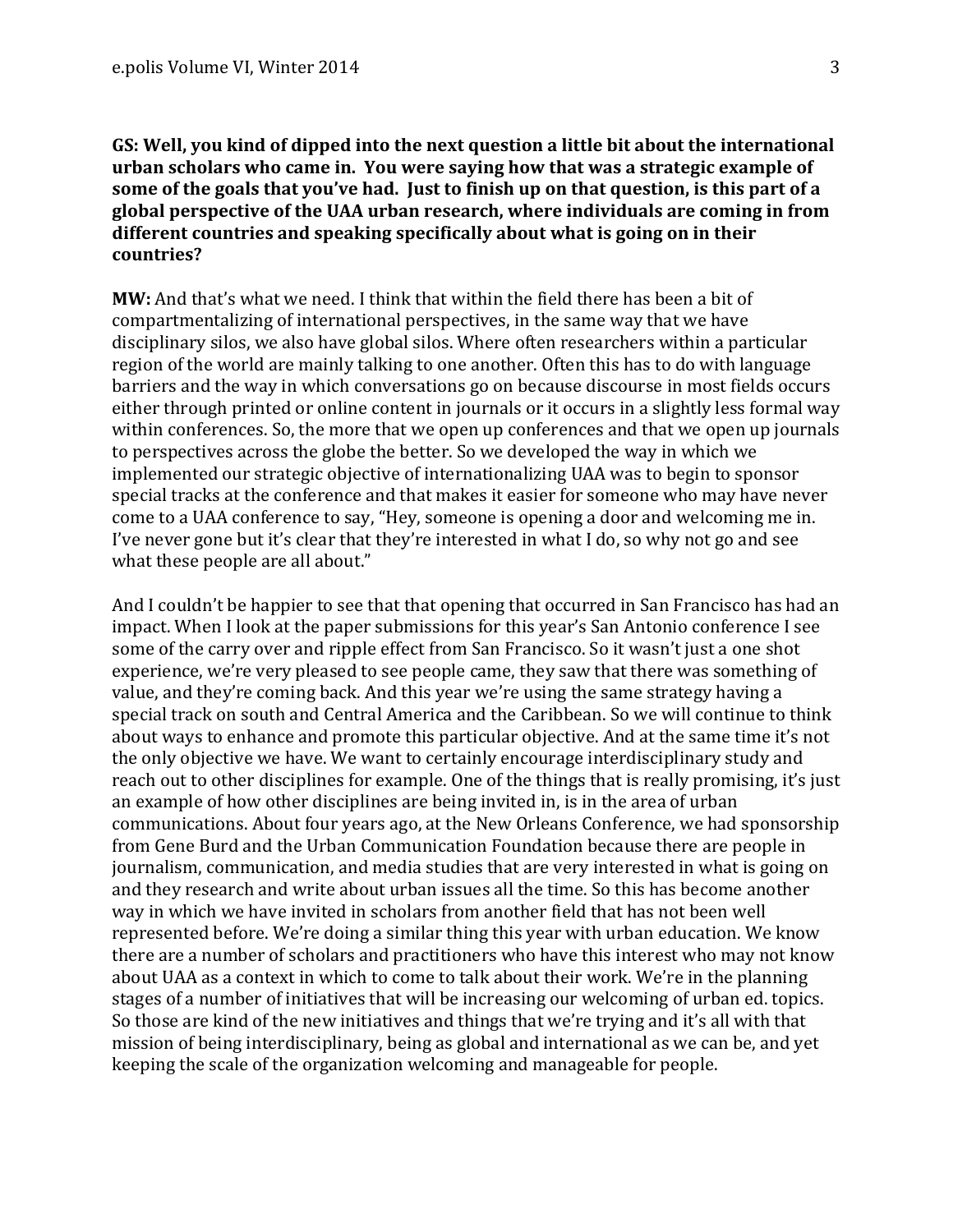# **GS: Well, you kind of dipped into the next question a little bit about the international urban scholars who came in. You were saying how that was a strategic example of some of the goals that you've had. Just to finish up on that question, is this part of a global perspective of the UAA urban research, where individuals are coming in from different countries and speaking specifically about what is going on in their countries?**

**MW:** And that's what we need. I think that within the field there has been a bit of compartmentalizing of international perspectives, in the same way that we have disciplinary silos, we also have global silos. Where often researchers within a particular region of the world are mainly talking to one another. Often this has to do with language barriers and the way in which conversations go on because discourse in most fields occurs either through printed or online content in journals or it occurs in a slightly less formal way within conferences. So, the more that we open up conferences and that we open up journals to perspectives across the globe the better. So we developed the way in which we implemented our strategic objective of internationalizing UAA was to begin to sponsor special tracks at the conference and that makes it easier for someone who may have never come to a UAA conference to say, "Hey, someone is opening a door and welcoming me in. I've never gone but it's clear that they're interested in what I do, so why not go and see what these people are all about."

And I couldn't be happier to see that that opening that occurred in San Francisco has had an impact. When I look at the paper submissions for this year's San Antonio conference I see some of the carry over and ripple effect from San Francisco. So it wasn't just a one shot experience, we're very pleased to see people came, they saw that there was something of value, and they're coming back. And this year we're using the same strategy having a special track on south and Central America and the Caribbean. So we will continue to think about ways to enhance and promote this particular objective. And at the same time it's not the only objective we have. We want to certainly encourage interdisciplinary study and reach out to other disciplines for example. One of the things that is really promising, it's just an example of how other disciplines are being invited in, is in the area of urban communications. About four years ago, at the New Orleans Conference, we had sponsorship from Gene Burd and the Urban Communication Foundation because there are people in journalism, communication, and media studies that are very interested in what is going on and they research and write about urban issues all the time. So this has become another way in which we have invited in scholars from another field that has not been well represented before. We're doing a similar thing this year with urban education. We know there are a number of scholars and practitioners who have this interest who may not know about UAA as a context in which to come to talk about their work. We're in the planning stages of a number of initiatives that will be increasing our welcoming of urban ed. topics. So those are kind of the new initiatives and things that we're trying and it's all with that mission of being interdisciplinary, being as global and international as we can be, and yet keeping the scale of the organization welcoming and manageable for people.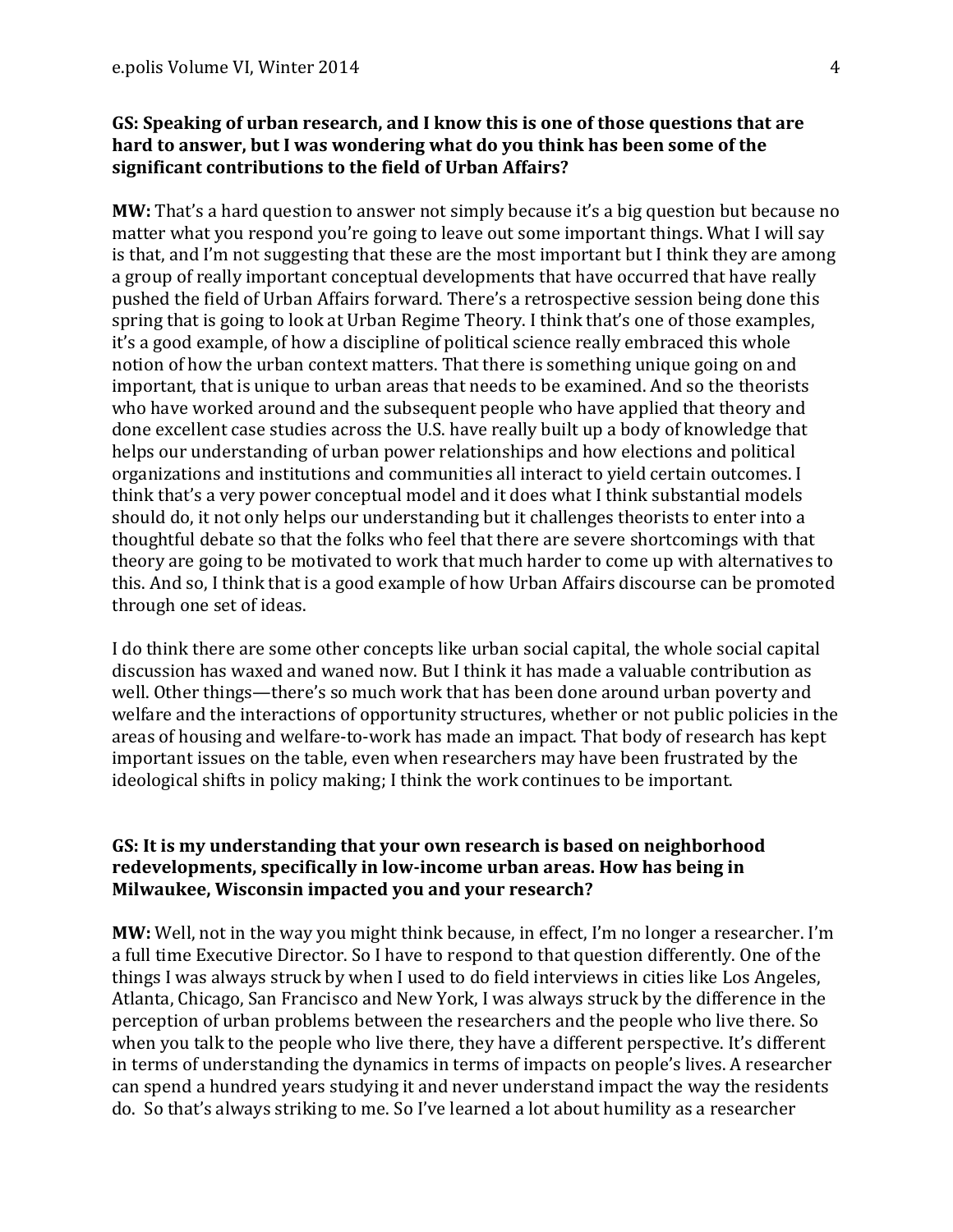### **GS: Speaking of urban research, and I know this is one of those questions that are hard to answer, but I was wondering what do you think has been some of the significant contributions to the field of Urban Affairs?**

**MW:** That's a hard question to answer not simply because it's a big question but because no matter what you respond you're going to leave out some important things. What I will say is that, and I'm not suggesting that these are the most important but I think they are among a group of really important conceptual developments that have occurred that have really pushed the field of Urban Affairs forward. There's a retrospective session being done this spring that is going to look at Urban Regime Theory. I think that's one of those examples, it's a good example, of how a discipline of political science really embraced this whole notion of how the urban context matters. That there is something unique going on and important, that is unique to urban areas that needs to be examined. And so the theorists who have worked around and the subsequent people who have applied that theory and done excellent case studies across the U.S. have really built up a body of knowledge that helps our understanding of urban power relationships and how elections and political organizations and institutions and communities all interact to yield certain outcomes. I think that's a very power conceptual model and it does what I think substantial models should do, it not only helps our understanding but it challenges theorists to enter into a thoughtful debate so that the folks who feel that there are severe shortcomings with that theory are going to be motivated to work that much harder to come up with alternatives to this. And so, I think that is a good example of how Urban Affairs discourse can be promoted through one set of ideas.

I do think there are some other concepts like urban social capital, the whole social capital discussion has waxed and waned now. But I think it has made a valuable contribution as well. Other things—there's so much work that has been done around urban poverty and welfare and the interactions of opportunity structures, whether or not public policies in the areas of housing and welfare-to-work has made an impact. That body of research has kept important issues on the table, even when researchers may have been frustrated by the ideological shifts in policy making; I think the work continues to be important.

### **GS: It is my understanding that your own research is based on neighborhood redevelopments, specifically in low-income urban areas. How has being in Milwaukee, Wisconsin impacted you and your research?**

**MW:** Well, not in the way you might think because, in effect, I'm no longer a researcher. I'm a full time Executive Director. So I have to respond to that question differently. One of the things I was always struck by when I used to do field interviews in cities like Los Angeles, Atlanta, Chicago, San Francisco and New York, I was always struck by the difference in the perception of urban problems between the researchers and the people who live there. So when you talk to the people who live there, they have a different perspective. It's different in terms of understanding the dynamics in terms of impacts on people's lives. A researcher can spend a hundred years studying it and never understand impact the way the residents do. So that's always striking to me. So I've learned a lot about humility as a researcher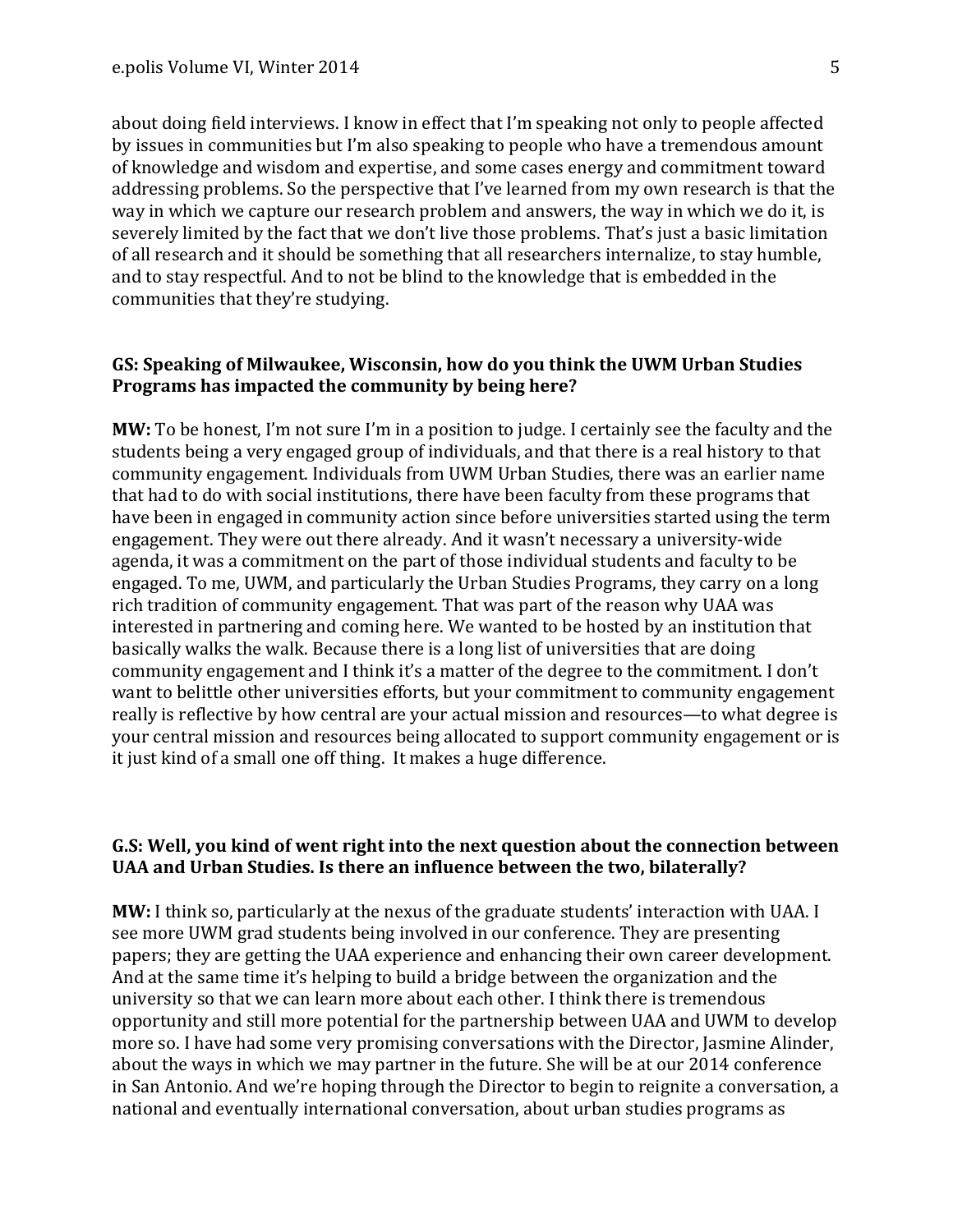about doing field interviews. I know in effect that I'm speaking not only to people affected by issues in communities but I'm also speaking to people who have a tremendous amount of knowledge and wisdom and expertise, and some cases energy and commitment toward addressing problems. So the perspective that I've learned from my own research is that the way in which we capture our research problem and answers, the way in which we do it, is severely limited by the fact that we don't live those problems. That's just a basic limitation of all research and it should be something that all researchers internalize, to stay humble, and to stay respectful. And to not be blind to the knowledge that is embedded in the communities that they're studying.

### **GS: Speaking of Milwaukee, Wisconsin, how do you think the UWM Urban Studies Programs has impacted the community by being here?**

**MW:** To be honest, I'm not sure I'm in a position to judge. I certainly see the faculty and the students being a very engaged group of individuals, and that there is a real history to that community engagement. Individuals from UWM Urban Studies, there was an earlier name that had to do with social institutions, there have been faculty from these programs that have been in engaged in community action since before universities started using the term engagement. They were out there already. And it wasn't necessary a university-wide agenda, it was a commitment on the part of those individual students and faculty to be engaged. To me, UWM, and particularly the Urban Studies Programs, they carry on a long rich tradition of community engagement. That was part of the reason why UAA was interested in partnering and coming here. We wanted to be hosted by an institution that basically walks the walk. Because there is a long list of universities that are doing community engagement and I think it's a matter of the degree to the commitment. I don't want to belittle other universities efforts, but your commitment to community engagement really is reflective by how central are your actual mission and resources—to what degree is your central mission and resources being allocated to support community engagement or is it just kind of a small one off thing. It makes a huge difference.

#### **G.S: Well, you kind of went right into the next question about the connection between UAA and Urban Studies. Is there an influence between the two, bilaterally?**

**MW:** I think so, particularly at the nexus of the graduate students' interaction with UAA. I see more UWM grad students being involved in our conference. They are presenting papers; they are getting the UAA experience and enhancing their own career development. And at the same time it's helping to build a bridge between the organization and the university so that we can learn more about each other. I think there is tremendous opportunity and still more potential for the partnership between UAA and UWM to develop more so. I have had some very promising conversations with the Director, Jasmine Alinder, about the ways in which we may partner in the future. She will be at our 2014 conference in San Antonio. And we're hoping through the Director to begin to reignite a conversation, a national and eventually international conversation, about urban studies programs as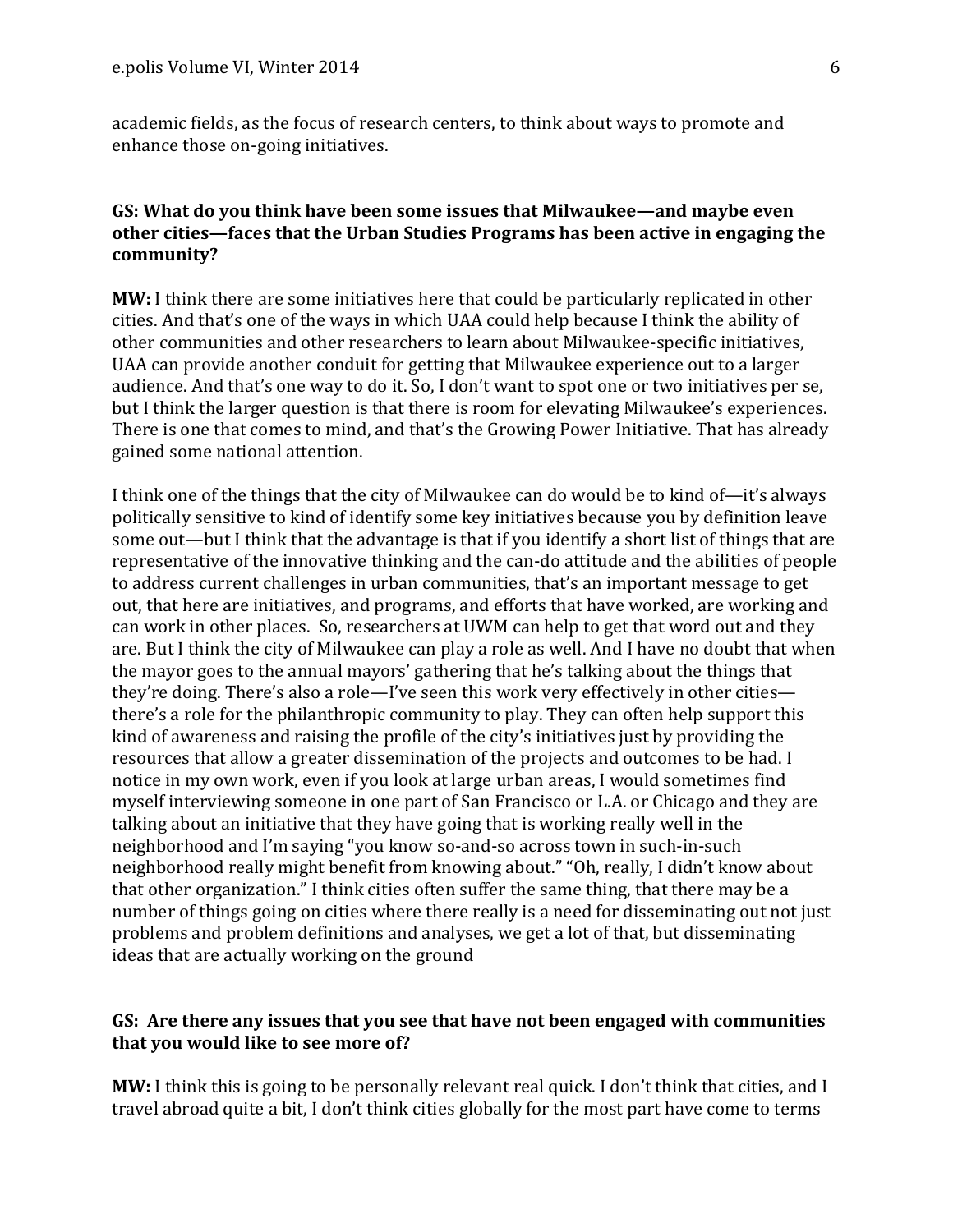academic fields, as the focus of research centers, to think about ways to promote and enhance those on-going initiatives.

### **GS: What do you think have been some issues that Milwaukee—and maybe even other cities—faces that the Urban Studies Programs has been active in engaging the community?**

**MW:** I think there are some initiatives here that could be particularly replicated in other cities. And that's one of the ways in which UAA could help because I think the ability of other communities and other researchers to learn about Milwaukee-specific initiatives, UAA can provide another conduit for getting that Milwaukee experience out to a larger audience. And that's one way to do it. So, I don't want to spot one or two initiatives per se, but I think the larger question is that there is room for elevating Milwaukee's experiences. There is one that comes to mind, and that's the Growing Power Initiative. That has already gained some national attention.

I think one of the things that the city of Milwaukee can do would be to kind of—it's always politically sensitive to kind of identify some key initiatives because you by definition leave some out—but I think that the advantage is that if you identify a short list of things that are representative of the innovative thinking and the can-do attitude and the abilities of people to address current challenges in urban communities, that's an important message to get out, that here are initiatives, and programs, and efforts that have worked, are working and can work in other places. So, researchers at UWM can help to get that word out and they are. But I think the city of Milwaukee can play a role as well. And I have no doubt that when the mayor goes to the annual mayors' gathering that he's talking about the things that they're doing. There's also a role—I've seen this work very effectively in other cities there's a role for the philanthropic community to play. They can often help support this kind of awareness and raising the profile of the city's initiatives just by providing the resources that allow a greater dissemination of the projects and outcomes to be had. I notice in my own work, even if you look at large urban areas, I would sometimes find myself interviewing someone in one part of San Francisco or L.A. or Chicago and they are talking about an initiative that they have going that is working really well in the neighborhood and I'm saying "you know so-and-so across town in such-in-such neighborhood really might benefit from knowing about." "Oh, really, I didn't know about that other organization." I think cities often suffer the same thing, that there may be a number of things going on cities where there really is a need for disseminating out not just problems and problem definitions and analyses, we get a lot of that, but disseminating ideas that are actually working on the ground

# **GS: Are there any issues that you see that have not been engaged with communities that you would like to see more of?**

**MW:** I think this is going to be personally relevant real quick. I don't think that cities, and I travel abroad quite a bit, I don't think cities globally for the most part have come to terms